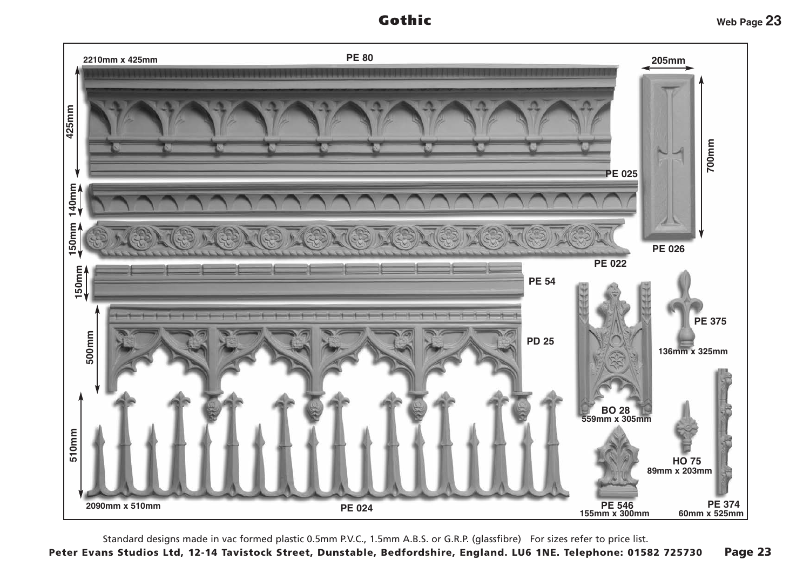Gothic



Standard designs made in vac formed plastic 0.5mm P.V.C., 1.5mm A.B.S. or G.R.P. (glassfibre) For sizes refer to price list.

Peter Evans Studios Ltd, 12-14 Tavistock Street, Dunstable, Bedfordshire, England. LU6 1NE. Telephone: 01582 725730 Page 23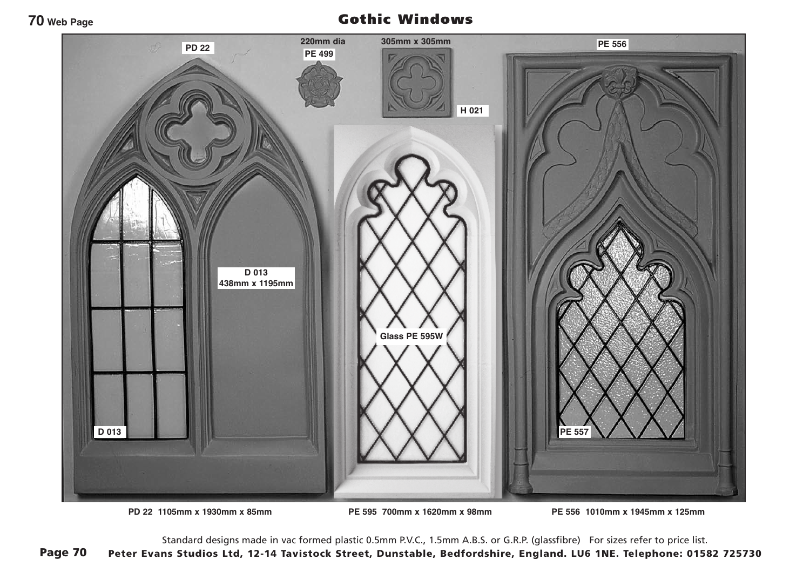## Gothic Windows



**PD 22 1105mm x 1930mm x 85mm PE 595 700mm x 1620mm x 98mm PE 556 1010mm x 1945mm x 125mm**

Standard designs made in vac formed plastic 0.5mm P.V.C., 1.5mm A.B.S. or G.R.P. (glassfibre) For sizes refer to price list. Peter Evans Studios Ltd, 12-14 Tavistock Street, Dunstable, Bedfordshire, England. LU6 1NE. Telephone: 01582 725730 Page 70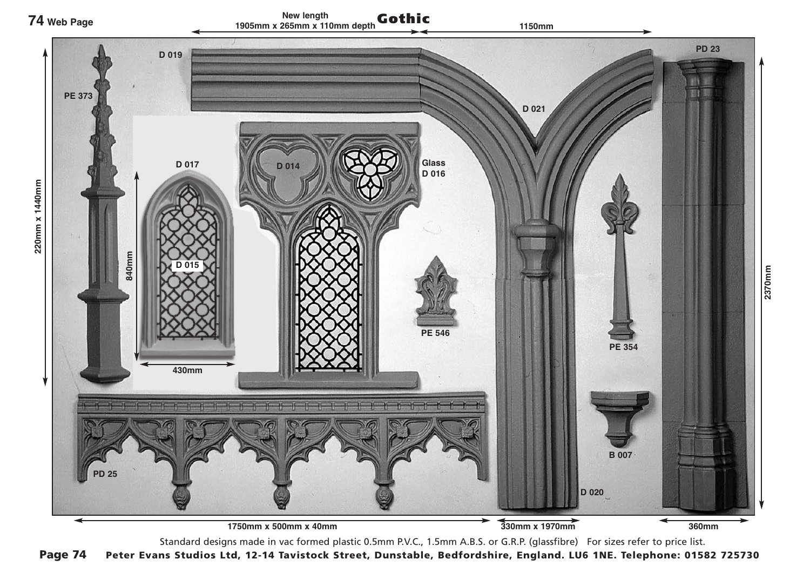

Standard designs made in vac formed plastic 0.5mm P.V.C., 1.5mm A.B.S. or G.R.P. (glassfibre) For sizes refer to price list.

Page 74 Peter Evans Studios Ltd, 12-14 Tavistock Street, Dunstable, Bedfordshire, England. LU6 1NE. Telephone: 01582 725730